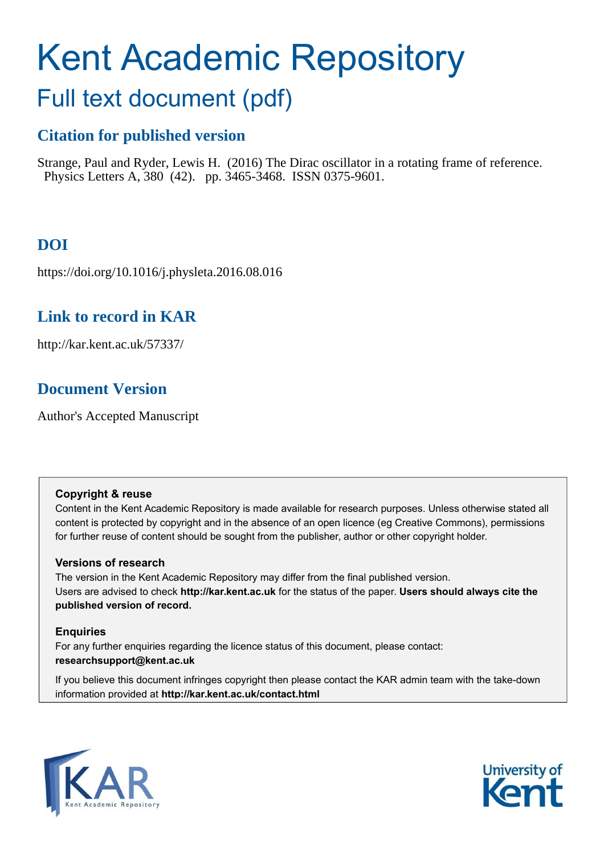# Kent Academic Repository

## Full text document (pdf)

## **Citation for published version**

Strange, Paul and Ryder, Lewis H. (2016) The Dirac oscillator in a rotating frame of reference. Physics Letters A, 380 (42). pp. 3465-3468. ISSN 0375-9601.

## **DOI**

https://doi.org/10.1016/j.physleta.2016.08.016

## **Link to record in KAR**

http://kar.kent.ac.uk/57337/

## **Document Version**

Author's Accepted Manuscript

#### **Copyright & reuse**

Content in the Kent Academic Repository is made available for research purposes. Unless otherwise stated all content is protected by copyright and in the absence of an open licence (eg Creative Commons), permissions for further reuse of content should be sought from the publisher, author or other copyright holder.

#### **Versions of research**

The version in the Kent Academic Repository may differ from the final published version. Users are advised to check **http://kar.kent.ac.uk** for the status of the paper. **Users should always cite the published version of record.**

#### **Enquiries**

For any further enquiries regarding the licence status of this document, please contact: **researchsupport@kent.ac.uk**

If you believe this document infringes copyright then please contact the KAR admin team with the take-down information provided at **http://kar.kent.ac.uk/contact.html**



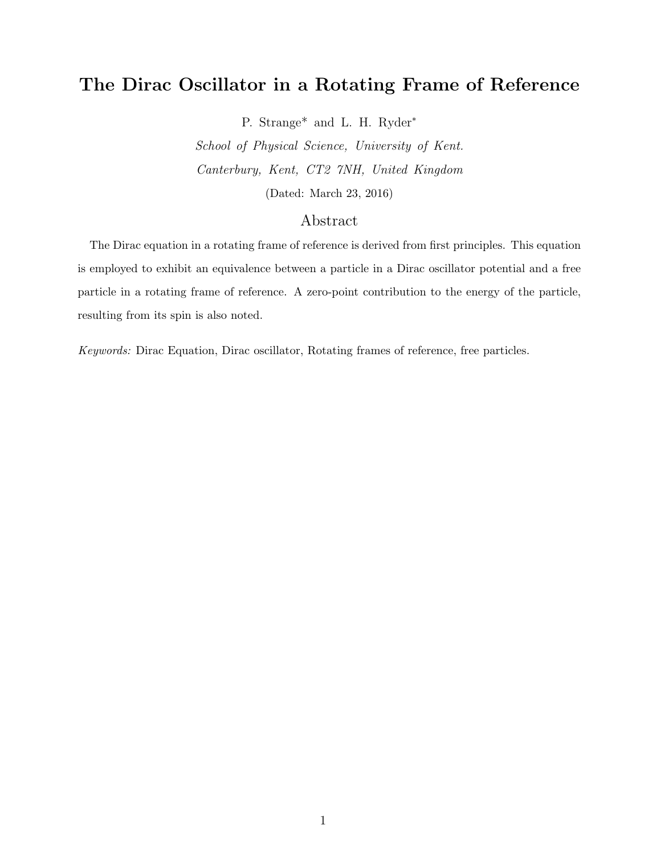### The Dirac Oscillator in a Rotating Frame of Reference

P. Strange\* and L. H. Ryder<sup>∗</sup>

School of Physical Science, University of Kent. Canterbury, Kent, CT2 7NH, United Kingdom (Dated: March 23, 2016)

#### Abstract

The Dirac equation in a rotating frame of reference is derived from first principles. This equation is employed to exhibit an equivalence between a particle in a Dirac oscillator potential and a free particle in a rotating frame of reference. A zero-point contribution to the energy of the particle, resulting from its spin is also noted.

*Keywords:* Dirac Equation, Dirac oscillator, Rotating frames of reference, free particles.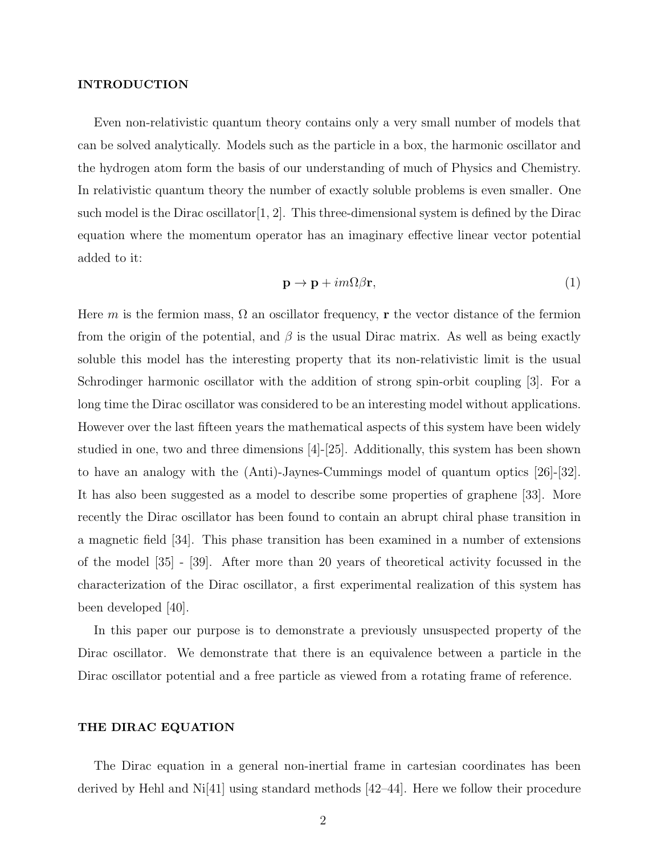#### INTRODUCTION

Even non-relativistic quantum theory contains only a very small number of models that can be solved analytically. Models such as the particle in a box, the harmonic oscillator and the hydrogen atom form the basis of our understanding of much of Physics and Chemistry. In relativistic quantum theory the number of exactly soluble problems is even smaller. One such model is the Dirac oscillator  $[1, 2]$ . This three-dimensional system is defined by the Dirac equation where the momentum operator has an imaginary effective linear vector potential added to it:

$$
\mathbf{p} \to \mathbf{p} + im\Omega\beta\mathbf{r},\tag{1}
$$

Here m is the fermion mass,  $\Omega$  an oscillator frequency, r the vector distance of the fermion from the origin of the potential, and  $\beta$  is the usual Dirac matrix. As well as being exactly soluble this model has the interesting property that its non-relativistic limit is the usual Schrodinger harmonic oscillator with the addition of strong spin-orbit coupling [3]. For a long time the Dirac oscillator was considered to be an interesting model without applications. However over the last fifteen years the mathematical aspects of this system have been widely studied in one, two and three dimensions [4]-[25]. Additionally, this system has been shown to have an analogy with the (Anti)-Jaynes-Cummings model of quantum optics [26]-[32]. It has also been suggested as a model to describe some properties of graphene [33]. More recently the Dirac oscillator has been found to contain an abrupt chiral phase transition in a magnetic field [34]. This phase transition has been examined in a number of extensions of the model [35] - [39]. After more than 20 years of theoretical activity focussed in the characterization of the Dirac oscillator, a first experimental realization of this system has been developed [40].

In this paper our purpose is to demonstrate a previously unsuspected property of the Dirac oscillator. We demonstrate that there is an equivalence between a particle in the Dirac oscillator potential and a free particle as viewed from a rotating frame of reference.

#### THE DIRAC EQUATION

The Dirac equation in a general non-inertial frame in cartesian coordinates has been derived by Hehl and Ni[41] using standard methods [42–44]. Here we follow their procedure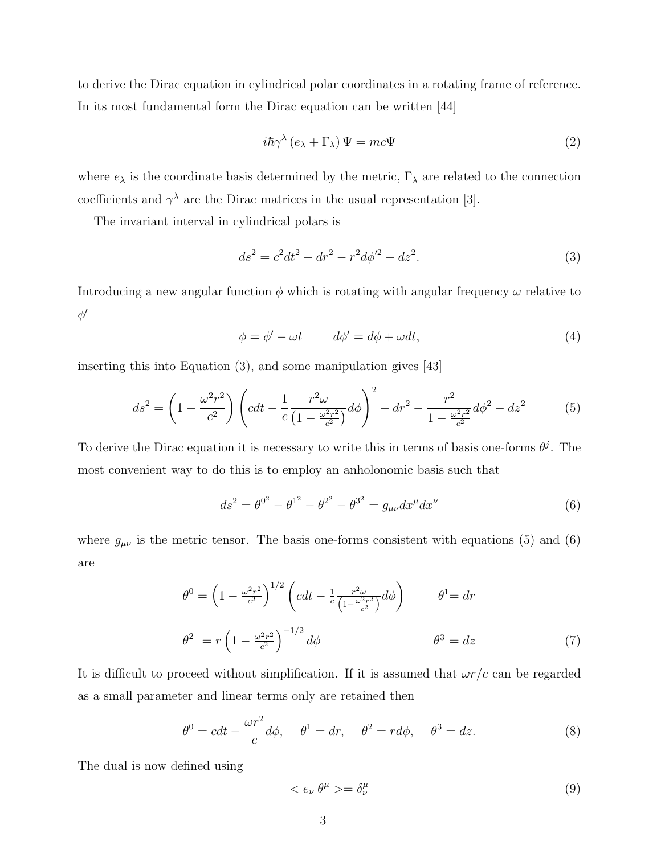to derive the Dirac equation in cylindrical polar coordinates in a rotating frame of reference. In its most fundamental form the Dirac equation can be written [44]

$$
i\hbar\gamma^{\lambda}\left(e_{\lambda}+\Gamma_{\lambda}\right)\Psi = mc\Psi
$$
\n<sup>(2)</sup>

where  $e_{\lambda}$  is the coordinate basis determined by the metric,  $\Gamma_{\lambda}$  are related to the connection coefficients and  $\gamma^{\lambda}$  are the Dirac matrices in the usual representation [3].

The invariant interval in cylindrical polars is

$$
ds^2 = c^2 dt^2 - dr^2 - r^2 d\phi'^2 - dz^2.
$$
\n(3)

Introducing a new angular function  $\phi$  which is rotating with angular frequency  $\omega$  relative to  $\phi'$ 

$$
\phi = \phi' - \omega t \qquad d\phi' = d\phi + \omega dt, \tag{4}
$$

inserting this into Equation (3), and some manipulation gives [43]

$$
ds^{2} = \left(1 - \frac{\omega^{2} r^{2}}{c^{2}}\right) \left(cdt - \frac{1}{c} \frac{r^{2} \omega}{\left(1 - \frac{\omega^{2} r^{2}}{c^{2}}\right)} d\phi\right)^{2} - dr^{2} - \frac{r^{2}}{1 - \frac{\omega^{2} r^{2}}{c^{2}}} d\phi^{2} - dz^{2}
$$
(5)

To derive the Dirac equation it is necessary to write this in terms of basis one-forms  $\theta^j$ . The most convenient way to do this is to employ an anholonomic basis such that

$$
ds^{2} = \theta^{0^{2}} - \theta^{1^{2}} - \theta^{2^{2}} - \theta^{3^{2}} = g_{\mu\nu} dx^{\mu} dx^{\nu}
$$
 (6)

where  $g_{\mu\nu}$  is the metric tensor. The basis one-forms consistent with equations (5) and (6) are

$$
\theta^{0} = \left(1 - \frac{\omega^{2} r^{2}}{c^{2}}\right)^{1/2} \left(cdt - \frac{1}{c} \frac{r^{2} \omega}{\left(1 - \frac{\omega^{2} r^{2}}{c^{2}}\right)} d\phi\right) \qquad \theta^{1} = dr
$$
\n
$$
\theta^{2} = r \left(1 - \frac{\omega^{2} r^{2}}{c^{2}}\right)^{-1/2} d\phi \qquad \theta^{3} = dz \qquad (7)
$$

It is difficult to proceed without simplification. If it is assumed that  $\omega r/c$  can be regarded as a small parameter and linear terms only are retained then

$$
\theta^0 = cdt - \frac{\omega r^2}{c}d\phi, \quad \theta^1 = dr, \quad \theta^2 = r d\phi, \quad \theta^3 = dz.
$$
 (8)

The dual is now defined using

$$
\langle e_{\nu} \theta^{\mu} \rangle = \delta^{\mu}_{\nu} \tag{9}
$$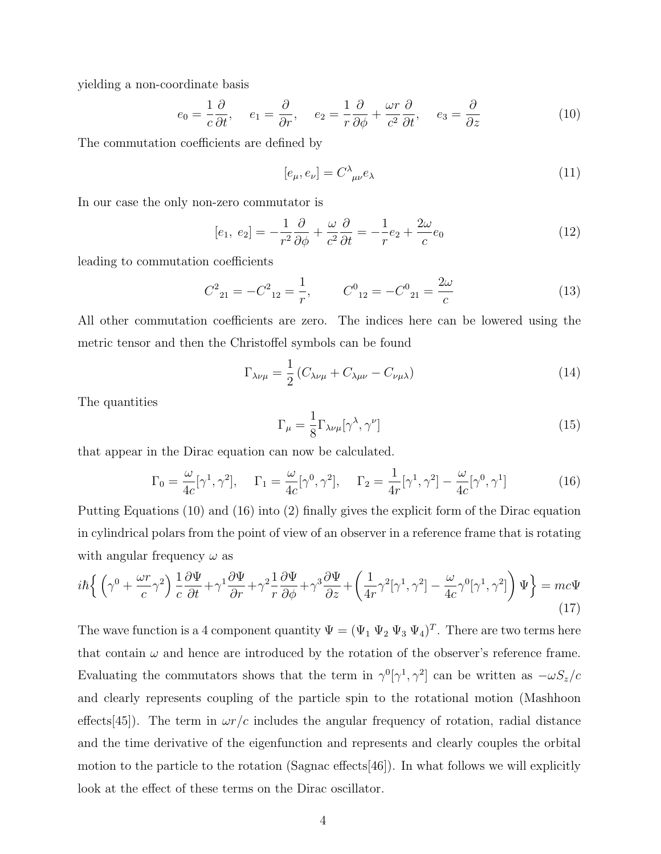yielding a non-coordinate basis

$$
e_0 = \frac{1}{c} \frac{\partial}{\partial t}, \quad e_1 = \frac{\partial}{\partial r}, \quad e_2 = \frac{1}{r} \frac{\partial}{\partial \phi} + \frac{\omega r}{c^2} \frac{\partial}{\partial t}, \quad e_3 = \frac{\partial}{\partial z}
$$
(10)

The commutation coefficients are defined by

$$
[e_{\mu}, e_{\nu}] = C^{\lambda}{}_{\mu\nu} e_{\lambda} \tag{11}
$$

In our case the only non-zero commutator is

$$
[e_1, e_2] = -\frac{1}{r^2} \frac{\partial}{\partial \phi} + \frac{\omega}{c^2} \frac{\partial}{\partial t} = -\frac{1}{r} e_2 + \frac{2\omega}{c} e_0 \tag{12}
$$

leading to commutation coefficients

$$
C_{21}^2 = -C_{12}^2 = \frac{1}{r}, \qquad C_{12}^0 = -C_{21}^0 = \frac{2\omega}{c}
$$
 (13)

All other commutation coefficients are zero. The indices here can be lowered using the metric tensor and then the Christoffel symbols can be found

$$
\Gamma_{\lambda\nu\mu} = \frac{1}{2} \left( C_{\lambda\nu\mu} + C_{\lambda\mu\nu} - C_{\nu\mu\lambda} \right) \tag{14}
$$

The quantities

$$
\Gamma_{\mu} = \frac{1}{8} \Gamma_{\lambda \nu \mu} [\gamma^{\lambda}, \gamma^{\nu}] \tag{15}
$$

that appear in the Dirac equation can now be calculated.

$$
\Gamma_0 = \frac{\omega}{4c} [\gamma^1, \gamma^2], \quad \Gamma_1 = \frac{\omega}{4c} [\gamma^0, \gamma^2], \quad \Gamma_2 = \frac{1}{4r} [\gamma^1, \gamma^2] - \frac{\omega}{4c} [\gamma^0, \gamma^1]
$$
(16)

Putting Equations (10) and (16) into (2) finally gives the explicit form of the Dirac equation in cylindrical polars from the point of view of an observer in a reference frame that is rotating with angular frequency  $\omega$  as

$$
i\hbar \left\{ \left( \gamma^0 + \frac{\omega r}{c} \gamma^2 \right) \frac{1}{c} \frac{\partial \Psi}{\partial t} + \gamma^1 \frac{\partial \Psi}{\partial r} + \gamma^2 \frac{1}{r} \frac{\partial \Psi}{\partial \phi} + \gamma^3 \frac{\partial \Psi}{\partial z} + \left( \frac{1}{4r} \gamma^2 [\gamma^1, \gamma^2] - \frac{\omega}{4c} \gamma^0 [\gamma^1, \gamma^2] \right) \Psi \right\} = mc\Psi
$$
\n(17)

The wave function is a 4 component quantity  $\Psi = (\Psi_1 \Psi_2 \Psi_3 \Psi_4)^T$ . There are two terms here that contain  $\omega$  and hence are introduced by the rotation of the observer's reference frame. Evaluating the commutators shows that the term in  $\gamma^0[\gamma^1, \gamma^2]$  can be written as  $-\omega S_z/c$ and clearly represents coupling of the particle spin to the rotational motion (Mashhoon effects [45]). The term in  $\omega r/c$  includes the angular frequency of rotation, radial distance and the time derivative of the eigenfunction and represents and clearly couples the orbital motion to the particle to the rotation  $(Sagnac$  effects  $[46]$ ). In what follows we will explicitly look at the effect of these terms on the Dirac oscillator.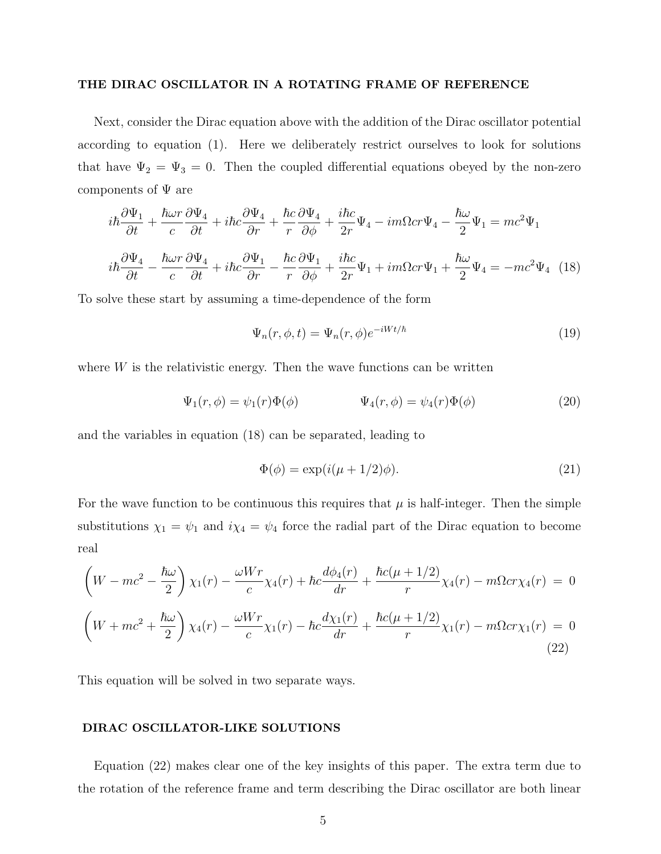#### THE DIRAC OSCILLATOR IN A ROTATING FRAME OF REFERENCE

Next, consider the Dirac equation above with the addition of the Dirac oscillator potential according to equation (1). Here we deliberately restrict ourselves to look for solutions that have  $\Psi_2 = \Psi_3 = 0$ . Then the coupled differential equations obeyed by the non-zero components of  $\Psi$  are

$$
i\hbar \frac{\partial \Psi_1}{\partial t} + \frac{\hbar \omega r}{c} \frac{\partial \Psi_4}{\partial t} + i\hbar c \frac{\partial \Psi_4}{\partial r} + \frac{\hbar c}{r} \frac{\partial \Psi_4}{\partial \phi} + \frac{i\hbar c}{2r} \Psi_4 - im\Omega cr \Psi_4 - \frac{\hbar \omega}{2} \Psi_1 = mc^2 \Psi_1
$$
  

$$
i\hbar \frac{\partial \Psi_4}{\partial t} - \frac{\hbar \omega r}{c} \frac{\partial \Psi_4}{\partial t} + i\hbar c \frac{\partial \Psi_1}{\partial r} - \frac{\hbar c}{r} \frac{\partial \Psi_1}{\partial \phi} + \frac{i\hbar c}{2r} \Psi_1 + im\Omega cr \Psi_1 + \frac{\hbar \omega}{2} \Psi_4 = -mc^2 \Psi_4 \quad (18)
$$

To solve these start by assuming a time-dependence of the form

$$
\Psi_n(r,\phi,t) = \Psi_n(r,\phi)e^{-iWt/\hbar}
$$
\n(19)

where  $W$  is the relativistic energy. Then the wave functions can be written

$$
\Psi_1(r,\phi) = \psi_1(r)\Phi(\phi) \qquad \Psi_4(r,\phi) = \psi_4(r)\Phi(\phi) \qquad (20)
$$

and the variables in equation (18) can be separated, leading to

$$
\Phi(\phi) = \exp(i(\mu + 1/2)\phi). \tag{21}
$$

For the wave function to be continuous this requires that  $\mu$  is half-integer. Then the simple substitutions  $\chi_1 = \psi_1$  and  $i\chi_4 = \psi_4$  force the radial part of the Dirac equation to become real

$$
\left(W - mc^2 - \frac{\hbar \omega}{2}\right) \chi_1(r) - \frac{\omega Wr}{c} \chi_4(r) + \hbar c \frac{d\phi_4(r)}{dr} + \frac{\hbar c(\mu + 1/2)}{r} \chi_4(r) - m\Omega cr \chi_4(r) = 0
$$
  

$$
\left(W + mc^2 + \frac{\hbar \omega}{2}\right) \chi_4(r) - \frac{\omega Wr}{c} \chi_1(r) - \hbar c \frac{d\chi_1(r)}{dr} + \frac{\hbar c(\mu + 1/2)}{r} \chi_1(r) - m\Omega cr \chi_1(r) = 0
$$
\n(22)

This equation will be solved in two separate ways.

#### DIRAC OSCILLATOR-LIKE SOLUTIONS

Equation (22) makes clear one of the key insights of this paper. The extra term due to the rotation of the reference frame and term describing the Dirac oscillator are both linear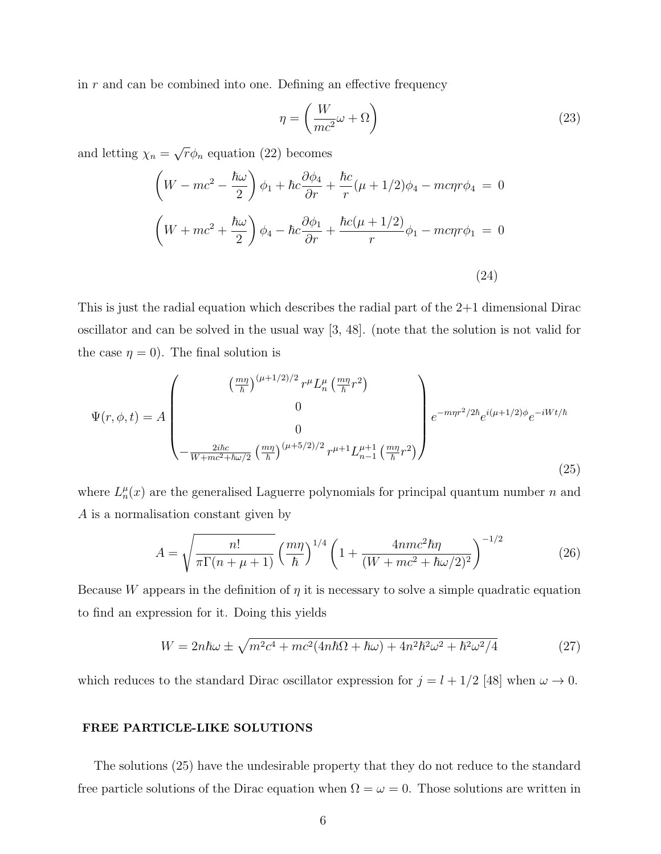in  $r$  and can be combined into one. Defining an effective frequency

$$
\eta = \left(\frac{W}{mc^2}\omega + \Omega\right) \tag{23}
$$

and letting  $\chi_n = \sqrt{r} \phi_n$  equation (22) becomes

$$
\left(W - mc^2 - \frac{\hbar\omega}{2}\right)\phi_1 + \hbar c\frac{\partial\phi_4}{\partial r} + \frac{\hbar c}{r}(\mu + 1/2)\phi_4 - mc\eta r\phi_4 = 0
$$
  

$$
\left(W + mc^2 + \frac{\hbar\omega}{2}\right)\phi_4 - \hbar c\frac{\partial\phi_1}{\partial r} + \frac{\hbar c(\mu + 1/2)}{r}\phi_1 - mc\eta r\phi_1 = 0
$$
  
(24)

This is just the radial equation which describes the radial part of the 2+1 dimensional Dirac oscillator and can be solved in the usual way [3, 48]. (note that the solution is not valid for the case  $\eta = 0$ ). The final solution is

$$
\Psi(r,\phi,t) = A \begin{pmatrix} \left(\frac{m\eta}{\hbar}\right)^{(\mu+1/2)/2} r^{\mu} L_n^{\mu} \left(\frac{m\eta}{\hbar} r^2\right) \\ 0 \\ 0 \\ -\frac{2i\hbar c}{W + mc^2 + \hbar \omega/2} \left(\frac{m\eta}{\hbar}\right)^{(\mu+5/2)/2} r^{\mu+1} L_{n-1}^{\mu+1} \left(\frac{m\eta}{\hbar} r^2\right) \end{pmatrix} e^{-m\eta r^2/2\hbar} e^{i(\mu+1/2)\phi} e^{-iWt/\hbar}
$$
\n(25)

where  $L_n^{\mu}(x)$  are the generalised Laguerre polynomials for principal quantum number n and A is a normalisation constant given by

$$
A = \sqrt{\frac{n!}{\pi \Gamma(n + \mu + 1)}} \left(\frac{m\eta}{\hbar}\right)^{1/4} \left(1 + \frac{4nmc^2\hbar\eta}{(W + mc^2 + \hbar\omega/2)^2}\right)^{-1/2}
$$
(26)

Because W appears in the definition of  $\eta$  it is necessary to solve a simple quadratic equation to find an expression for it. Doing this yields

$$
W = 2n\hbar\omega \pm \sqrt{m^2c^4 + mc^2(4n\hbar\Omega + \hbar\omega) + 4n^2\hbar^2\omega^2 + \hbar^2\omega^2/4}
$$
 (27)

which reduces to the standard Dirac oscillator expression for  $j = l + 1/2$  [48] when  $\omega \to 0$ .

#### FREE PARTICLE-LIKE SOLUTIONS

The solutions (25) have the undesirable property that they do not reduce to the standard free particle solutions of the Dirac equation when  $\Omega = \omega = 0$ . Those solutions are written in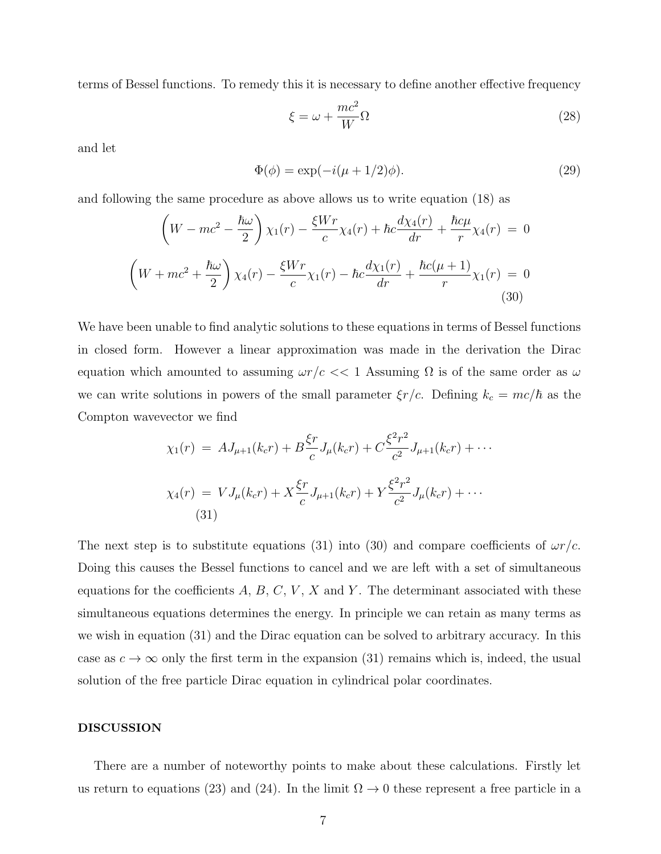terms of Bessel functions. To remedy this it is necessary to define another effective frequency

$$
\xi = \omega + \frac{mc^2}{W}\Omega\tag{28}
$$

and let

$$
\Phi(\phi) = \exp(-i(\mu + 1/2)\phi). \tag{29}
$$

and following the same procedure as above allows us to write equation (18) as

$$
\left(W - mc^2 - \frac{\hbar \omega}{2}\right) \chi_1(r) - \frac{\xi W r}{c} \chi_4(r) + \hbar c \frac{d\chi_4(r)}{dr} + \frac{\hbar c \mu}{r} \chi_4(r) = 0
$$
  

$$
\left(W + mc^2 + \frac{\hbar \omega}{2}\right) \chi_4(r) - \frac{\xi W r}{c} \chi_1(r) - \hbar c \frac{d\chi_1(r)}{dr} + \frac{\hbar c(\mu + 1)}{r} \chi_1(r) = 0
$$
  
(30)

We have been unable to find analytic solutions to these equations in terms of Bessel functions in closed form. However a linear approximation was made in the derivation the Dirac equation which amounted to assuming  $\omega r/c \ll 1$  Assuming  $\Omega$  is of the same order as  $\omega$ we can write solutions in powers of the small parameter  $\xi r/c$ . Defining  $k_c = mc/\hbar$  as the Compton wavevector we find

$$
\chi_1(r) = AJ_{\mu+1}(k_c r) + B\frac{\xi r}{c}J_{\mu}(k_c r) + C\frac{\xi^2 r^2}{c^2}J_{\mu+1}(k_c r) + \cdots
$$
  

$$
\chi_4(r) = VJ_{\mu}(k_c r) + X\frac{\xi r}{c}J_{\mu+1}(k_c r) + Y\frac{\xi^2 r^2}{c^2}J_{\mu}(k_c r) + \cdots
$$
  
(31)

The next step is to substitute equations (31) into (30) and compare coefficients of  $\omega r/c$ . Doing this causes the Bessel functions to cancel and we are left with a set of simultaneous equations for the coefficients  $A, B, C, V, X$  and Y. The determinant associated with these simultaneous equations determines the energy. In principle we can retain as many terms as we wish in equation (31) and the Dirac equation can be solved to arbitrary accuracy. In this case as  $c \to \infty$  only the first term in the expansion (31) remains which is, indeed, the usual solution of the free particle Dirac equation in cylindrical polar coordinates.

#### DISCUSSION

There are a number of noteworthy points to make about these calculations. Firstly let us return to equations (23) and (24). In the limit  $\Omega \to 0$  these represent a free particle in a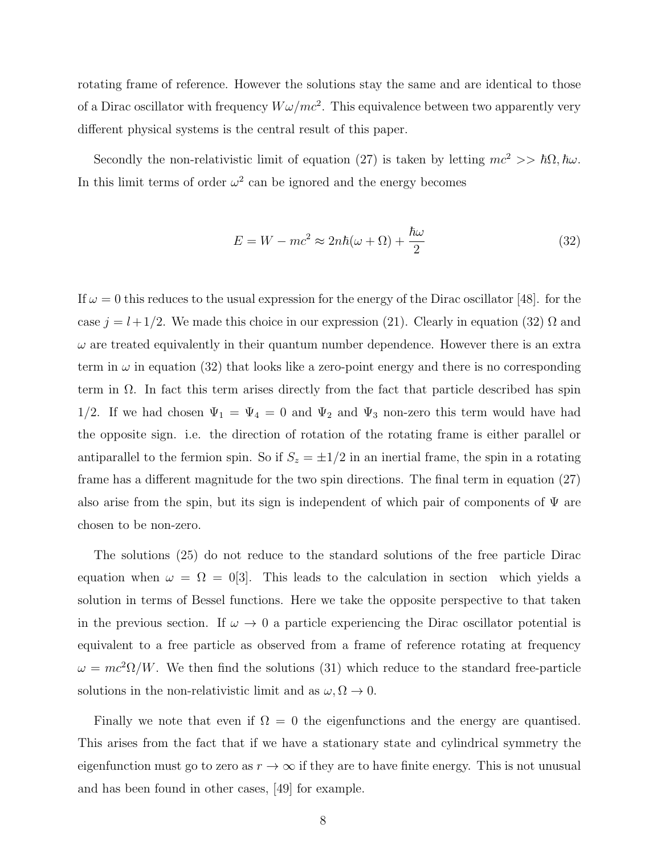rotating frame of reference. However the solutions stay the same and are identical to those of a Dirac oscillator with frequency  $W\omega/mc^2$ . This equivalence between two apparently very different physical systems is the central result of this paper.

Secondly the non-relativistic limit of equation (27) is taken by letting  $mc^2 >> \hbar\Omega$ ,  $\hbar\omega$ . In this limit terms of order  $\omega^2$  can be ignored and the energy becomes

$$
E = W - mc^2 \approx 2n\hbar(\omega + \Omega) + \frac{\hbar\omega}{2}
$$
\n(32)

If  $\omega = 0$  this reduces to the usual expression for the energy of the Dirac oscillator [48]. for the case  $j = l + 1/2$ . We made this choice in our expression (21). Clearly in equation (32)  $\Omega$  and  $\omega$  are treated equivalently in their quantum number dependence. However there is an extra term in  $\omega$  in equation (32) that looks like a zero-point energy and there is no corresponding term in  $\Omega$ . In fact this term arises directly from the fact that particle described has spin 1/2. If we had chosen  $\Psi_1 = \Psi_4 = 0$  and  $\Psi_2$  and  $\Psi_3$  non-zero this term would have had the opposite sign. i.e. the direction of rotation of the rotating frame is either parallel or antiparallel to the fermion spin. So if  $S_z = \pm 1/2$  in an inertial frame, the spin in a rotating frame has a different magnitude for the two spin directions. The final term in equation (27) also arise from the spin, but its sign is independent of which pair of components of  $\Psi$  are chosen to be non-zero.

The solutions (25) do not reduce to the standard solutions of the free particle Dirac equation when  $\omega = \Omega = 0.03$ . This leads to the calculation in section which yields a solution in terms of Bessel functions. Here we take the opposite perspective to that taken in the previous section. If  $\omega \to 0$  a particle experiencing the Dirac oscillator potential is equivalent to a free particle as observed from a frame of reference rotating at frequency  $\omega = mc^2\Omega/W$ . We then find the solutions (31) which reduce to the standard free-particle solutions in the non-relativistic limit and as  $\omega, \Omega \to 0$ .

Finally we note that even if  $\Omega = 0$  the eigenfunctions and the energy are quantised. This arises from the fact that if we have a stationary state and cylindrical symmetry the eigenfunction must go to zero as  $r \to \infty$  if they are to have finite energy. This is not unusual and has been found in other cases, [49] for example.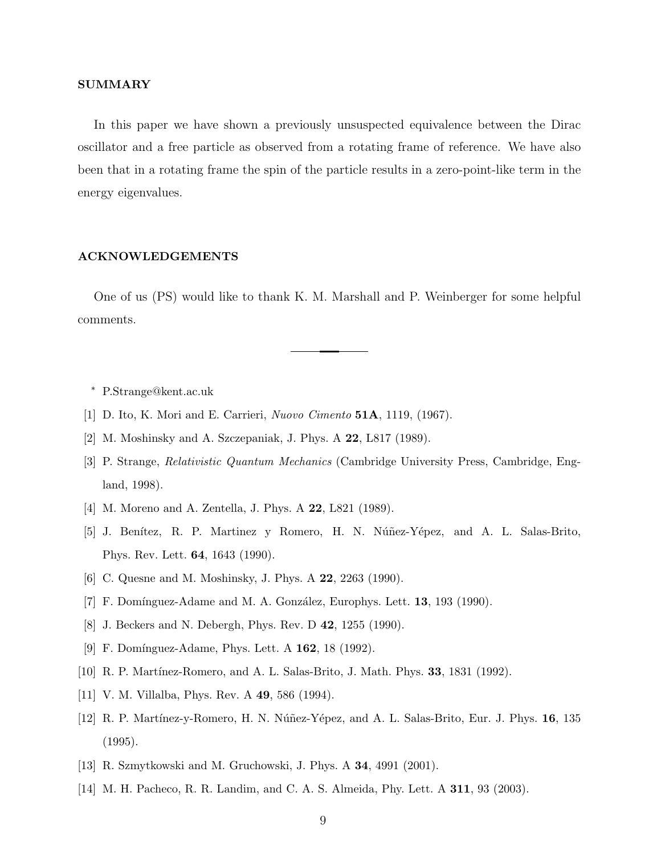#### SUMMARY

In this paper we have shown a previously unsuspected equivalence between the Dirac oscillator and a free particle as observed from a rotating frame of reference. We have also been that in a rotating frame the spin of the particle results in a zero-point-like term in the energy eigenvalues.

#### ACKNOWLEDGEMENTS

One of us (PS) would like to thank K. M. Marshall and P. Weinberger for some helpful comments.

<sup>∗</sup> P.Strange@kent.ac.uk

- [1] D. Ito, K. Mori and E. Carrieri, *Nuovo Cimento* 51A, 1119, (1967).
- [2] M. Moshinsky and A. Szczepaniak, J. Phys. A 22, L817 (1989).
- [3] P. Strange, *Relativistic Quantum Mechanics* (Cambridge University Press, Cambridge, England, 1998).
- [4] M. Moreno and A. Zentella, J. Phys. A **22**, L821 (1989).
- [5] J. Benítez, R. P. Martinez y Romero, H. N. Núñez-Yépez, and A. L. Salas-Brito, Phys. Rev. Lett. 64, 1643 (1990).
- [6] C. Quesne and M. Moshinsky, J. Phys. A 22, 2263 (1990).
- [7] F. Domínguez-Adame and M. A. González, Europhys. Lett.  $13$ ,  $193$  (1990).
- [8] J. Beckers and N. Debergh, Phys. Rev. D 42, 1255 (1990).
- [9] F. Domínguez-Adame, Phys. Lett. A 162, 18 (1992).
- [10] R. P. Martínez-Romero, and A. L. Salas-Brito, J. Math. Phys. **33**, 1831 (1992).
- [11] V. M. Villalba, Phys. Rev. A **49**, 586 (1994).
- [12] R. P. Martínez-y-Romero, H. N. Núñez-Yépez, and A. L. Salas-Brito, Eur. J. Phys. 16, 135 (1995).
- [13] R. Szmytkowski and M. Gruchowski, J. Phys. A 34, 4991 (2001).
- [14] M. H. Pacheco, R. R. Landim, and C. A. S. Almeida, Phy. Lett. A 311, 93 (2003).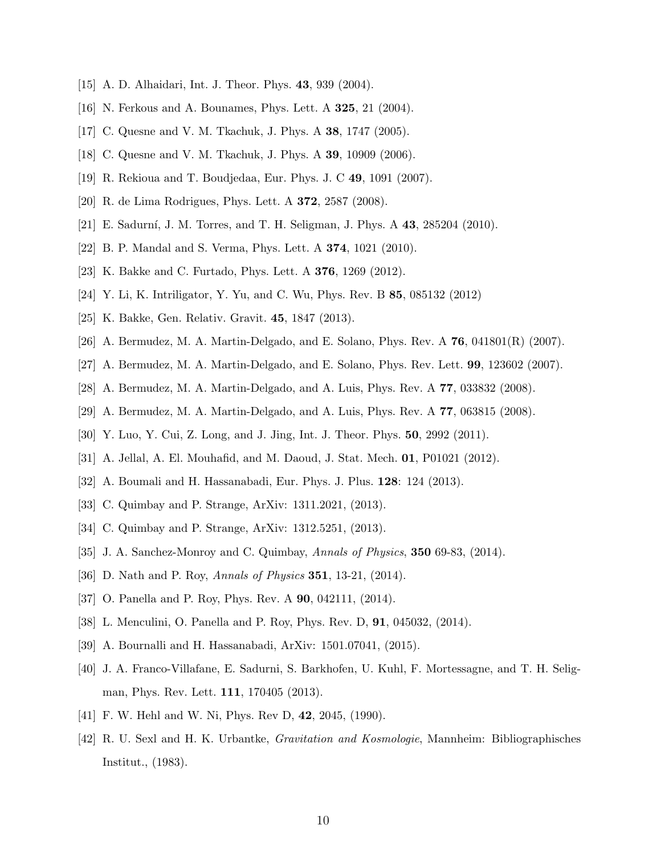- [15] A. D. Alhaidari, Int. J. Theor. Phys. **43**, 939 (2004).
- [16] N. Ferkous and A. Bounames, Phys. Lett. A 325, 21 (2004).
- [17] C. Quesne and V. M. Tkachuk, J. Phys. A 38, 1747 (2005).
- [18] C. Quesne and V. M. Tkachuk, J. Phys. A 39, 10909 (2006).
- [19] R. Rekioua and T. Boudjedaa, Eur. Phys. J. C 49, 1091 (2007).
- [20] R. de Lima Rodrigues, Phys. Lett. A 372, 2587 (2008).
- [21] E. Sadurní, J. M. Torres, and T. H. Seligman, J. Phys. A 43, 285204 (2010).
- [22] B. P. Mandal and S. Verma, Phys. Lett. A 374, 1021 (2010).
- [23] K. Bakke and C. Furtado, Phys. Lett. A 376, 1269 (2012).
- [24] Y. Li, K. Intriligator, Y. Yu, and C. Wu, Phys. Rev. B 85, 085132 (2012)
- [25] K. Bakke, Gen. Relativ. Gravit. 45, 1847 (2013).
- [26] A. Bermudez, M. A. Martin-Delgado, and E. Solano, Phys. Rev. A  $76$ , 041801(R) (2007).
- [27] A. Bermudez, M. A. Martin-Delgado, and E. Solano, Phys. Rev. Lett. 99, 123602 (2007).
- [28] A. Bermudez, M. A. Martin-Delgado, and A. Luis, Phys. Rev. A 77, 033832 (2008).
- [29] A. Bermudez, M. A. Martin-Delgado, and A. Luis, Phys. Rev. A 77, 063815 (2008).
- [30] Y. Luo, Y. Cui, Z. Long, and J. Jing, Int. J. Theor. Phys. 50, 2992 (2011).
- [31] A. Jellal, A. El. Mouhafid, and M. Daoud, J. Stat. Mech. 01, P01021 (2012).
- [32] A. Boumali and H. Hassanabadi, Eur. Phys. J. Plus. 128: 124 (2013).
- [33] C. Quimbay and P. Strange, ArXiv: 1311.2021, (2013).
- [34] C. Quimbay and P. Strange, ArXiv: 1312.5251, (2013).
- [35] J. A. Sanchez-Monroy and C. Quimbay, *Annals of Physics*, 350 69-83, (2014).
- [36] D. Nath and P. Roy, *Annals of Physics* 351, 13-21, (2014).
- [37] O. Panella and P. Roy, Phys. Rev. A **90**, 042111, (2014).
- [38] L. Menculini, O. Panella and P. Roy, Phys. Rev. D, 91, 045032, (2014).
- [39] A. Bournalli and H. Hassanabadi, ArXiv: 1501.07041, (2015).
- [40] J. A. Franco-Villafane, E. Sadurni, S. Barkhofen, U. Kuhl, F. Mortessagne, and T. H. Seligman, Phys. Rev. Lett. 111, 170405 (2013).
- [41] F. W. Hehl and W. Ni, Phys. Rev D, 42, 2045, (1990).
- [42] R. U. Sexl and H. K. Urbantke, *Gravitation and Kosmologie*, Mannheim: Bibliographisches Institut., (1983).